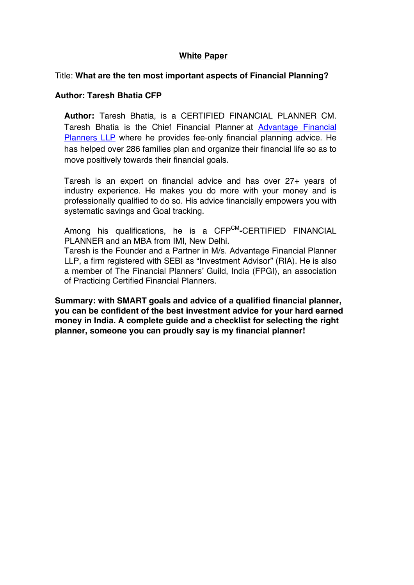# **White Paper**

### Title: **What are the ten most important aspects of Financial Planning?**

### **Author: Taresh Bhatia CFP**

**Author:** Taresh Bhatia, is a CERTIFIED FINANCIAL PLANNER CM. Taresh Bhatia is the Chief Financial Planner at Advantage Financial Planners LLP where he provides fee-only financial planning advice. He has helped over 286 families plan and organize their financial life so as to move positively towards their financial goals.

Taresh is an expert on financial advice and has over 27+ years of industry experience. He makes you do more with your money and is professionally qualified to do so. His advice financially empowers you with systematic savings and Goal tracking.

Among his qualifications, he is a CFPCM**-**CERTIFIED FINANCIAL PLANNER and an MBA from IMI, New Delhi. Taresh is the Founder and a Partner in M/s. Advantage Financial Planner LLP, a firm registered with SEBI as "Investment Advisor" (RIA). He is also a member of The Financial Planners' Guild, India (FPGI), an association of Practicing Certified Financial Planners.

**Summary: with SMART goals and advice of a qualified financial planner, you can be confident of the best investment advice for your hard earned money in India. A complete guide and a checklist for selecting the right planner, someone you can proudly say is my financial planner!**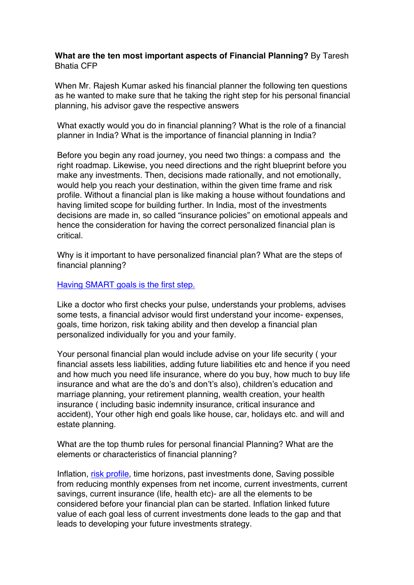# **What are the ten most important aspects of Financial Planning?** By Taresh Bhatia CFP

When Mr. Rajesh Kumar asked his financial planner the following ten questions as he wanted to make sure that he taking the right step for his personal financial planning, his advisor gave the respective answers

What exactly would you do in financial planning? What is the role of a financial planner in India? What is the importance of financial planning in India?

Before you begin any road journey, you need two things: a compass and the right roadmap. Likewise, you need directions and the right blueprint before you make any investments. Then, decisions made rationally, and not emotionally, would help you reach your destination, within the given time frame and risk profile. Without a financial plan is like making a house without foundations and having limited scope for building further. In India, most of the investments decisions are made in, so called "insurance policies" on emotional appeals and hence the consideration for having the correct personalized financial plan is critical.

Why is it important to have personalized financial plan? What are the steps of financial planning?

#### Having SMART goals is the first step.

Like a doctor who first checks your pulse, understands your problems, advises some tests, a financial advisor would first understand your income- expenses, goals, time horizon, risk taking ability and then develop a financial plan personalized individually for you and your family.

Your personal financial plan would include advise on your life security ( your financial assets less liabilities, adding future liabilities etc and hence if you need and how much you need life insurance, where do you buy, how much to buy life insurance and what are the do's and don't's also), children's education and marriage planning, your retirement planning, wealth creation, your health insurance ( including basic indemnity insurance, critical insurance and accident), Your other high end goals like house, car, holidays etc. and will and estate planning.

What are the top thumb rules for personal financial Planning? What are the elements or characteristics of financial planning?

Inflation, risk profile, time horizons, past investments done, Saving possible from reducing monthly expenses from net income, current investments, current savings, current insurance (life, health etc)- are all the elements to be considered before your financial plan can be started. Inflation linked future value of each goal less of current investments done leads to the gap and that leads to developing your future investments strategy.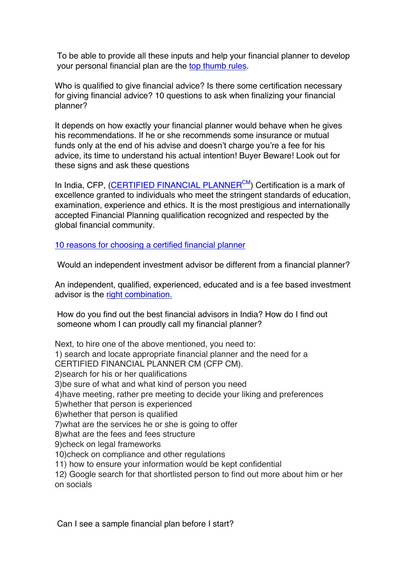To be able to provide all these inputs and help your financial planner to develop your personal financial plan are the top thumb rules.

Who is qualified to give financial advice? Is there some certification necessary for giving financial advice? 10 questions to ask when finalizing your financial planner?

It depends on how exactly your financial planner would behave when he gives his recommendations. If he or she recommends some insurance or mutual funds only at the end of his advise and doesn't charge you're a fee for his advice, its time to understand his actual intention! Buyer Beware! Look out for these signs and ask these questions

In India, CFP, (CERTIFIED FINANCIAL PLANNER $<sup>CM</sup>$ ) Certification is a mark of</sup> excellence granted to individuals who meet the stringent standards of education, examination, experience and ethics. It is the most prestigious and internationally accepted Financial Planning qualification recognized and respected by the global financial community.

10 reasons for choosing a certified financial planner

Would an independent investment advisor be different from a financial planner?

An independent, qualified, experienced, educated and is a fee based investment advisor is the right combination.

How do you find out the best financial advisors in India? How do I find out someone whom I can proudly call my financial planner?

Next, to hire one of the above mentioned, you need to: 1) search and locate appropriate financial planner and the need for a CERTIFIED FINANCIAL PLANNER CM (CFP CM). 2)search for his or her qualifications 3)be sure of what and what kind of person you need 4)have meeting, rather pre meeting to decide your liking and preferences 5)whether that person is experienced 6)whether that person is qualified 7)what are the services he or she is going to offer 8)what are the fees and fees structure 9)check on legal frameworks 10)check on compliance and other regulations 11) how to ensure your information would be kept confidential 12) Google search for that shortlisted person to find out more about him or her on socials

Can I see a sample financial plan before I start?